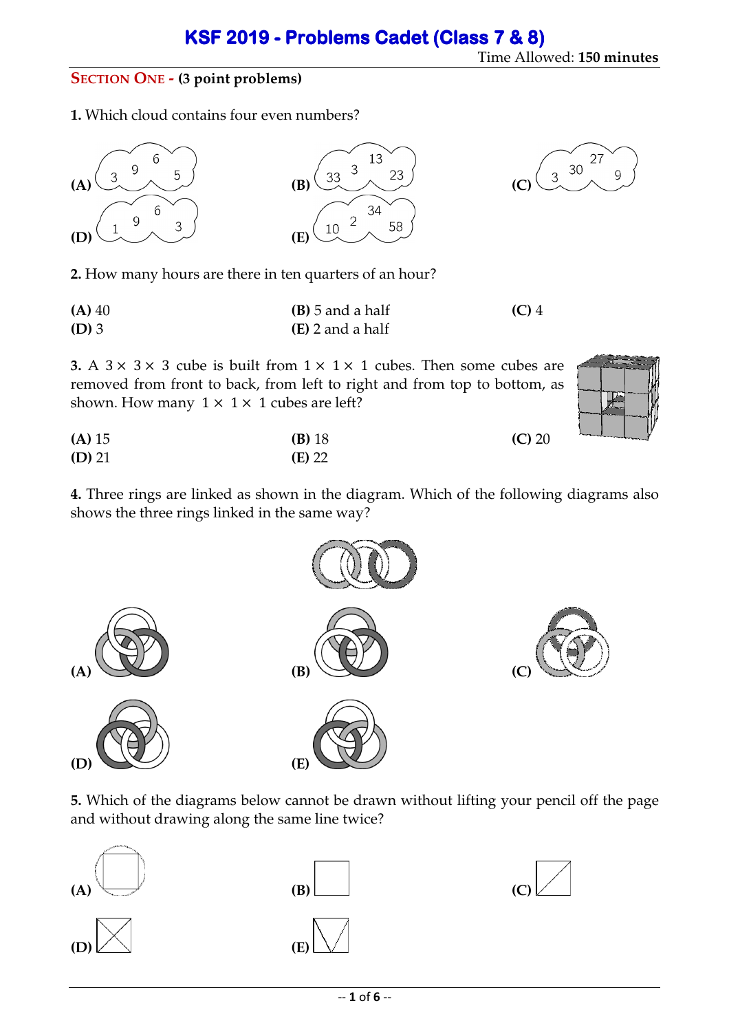## Time Allowed: **150 minutes**

### **SECTION ONE - (3 point problems)**

**1.** Which cloud contains four even numbers?



**2.** How many hours are there in ten quarters of an hour?

| $(A)$ 40 | $(B)$ 5 and a half | $(C)$ 4 |
|----------|--------------------|---------|
| $(D)$ 3  | (E) 2 and a half   |         |

**3.** A  $3 \times 3 \times 3$  cube is built from  $1 \times 1 \times 1$  cubes. Then some cubes are removed from front to back, from left to right and from top to bottom, as shown. How many  $1 \times 1 \times 1$  cubes are left?

 $\overline{Q}$ 

| $(A)$ 15 | $(B)$ 18 | (C) 20 |
|----------|----------|--------|
| $(D)$ 21 | $(E)$ 22 |        |

**4.** Three rings are linked as shown in the diagram. Which of the following diagrams also shows the three rings linked in the same way?



**5.** Which of the diagrams below cannot be drawn without lifting your pencil off the page and without drawing along the same line twice?



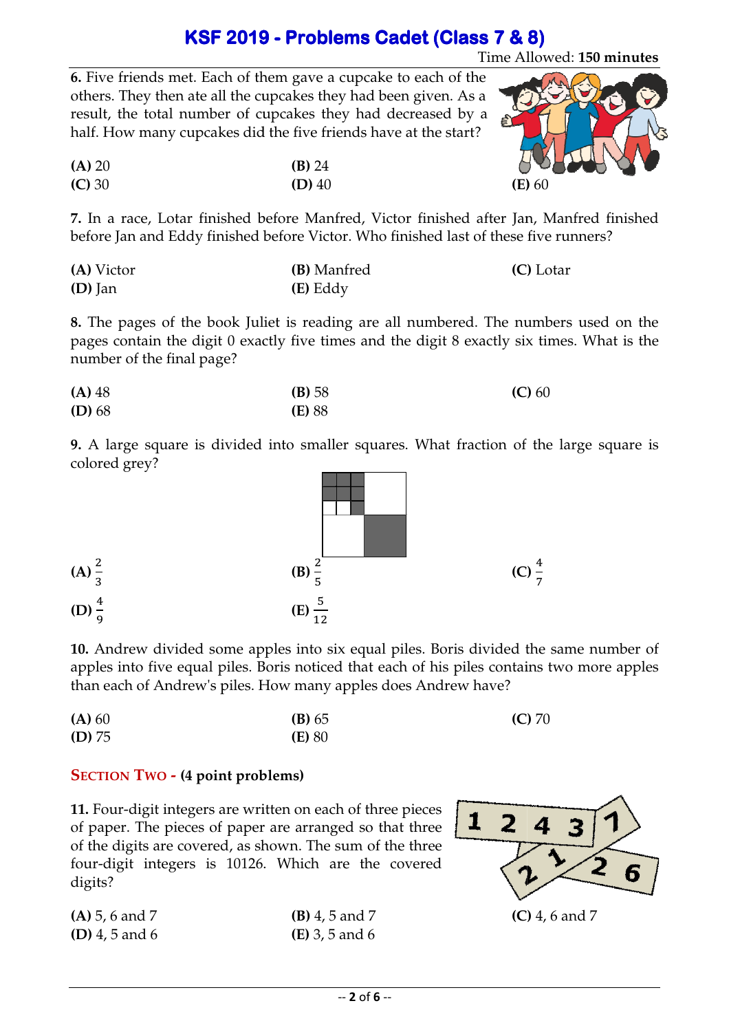# **KSF 2019 - Problems Cadet (Class 7 & 8)**

Time Allowed: **150 minutes**

(E) 60

**6.** Five friends met. Each of them gave a cupcake to each of the others. They then ate all the cupcakes they had been given. As a result, the total number of cupcakes they had decreased by a half. How many cupcakes did the five friends have at the start?

| (A) 20 | (B) 24   | $\sigma$ |
|--------|----------|----------|
| (C) 30 | $(D)$ 40 | (E)      |

**7.** In a race, Lotar finished before Manfred, Victor finished after Jan, Manfred finished

|            | before Jan and Eddy finished before Victor. Who finished last of these five runners? |           |
|------------|--------------------------------------------------------------------------------------|-----------|
| (A) Victor | <b>(B)</b> Manfred                                                                   | (C) Lotar |
| $(D)$ Jan  | (E) Eddy                                                                             |           |

**8.** The pages of the book Juliet is reading are all numbered. The numbers used on the pages contain the digit 0 exactly five times and the digit 8 exactly six times. What is the number of the final page?

| $(A)$ 48 | (B) 58        | (C) 60 |
|----------|---------------|--------|
| $(D)$ 68 | <b>(E)</b> 88 |        |

**9.** A large square is divided into smaller squares. What fraction of the large square is colored grey?



**10.** Andrew divided some apples into six equal piles. Boris divided the same number of apples into five equal piles. Boris noticed that each of his piles contains two more apples than each of Andrew's piles. How many apples does Andrew have? have?

| (A) 60 | (B) 65        | $(C)$ 70 |
|--------|---------------|----------|
| (D) 75 | <b>(E)</b> 80 |          |

#### **SECTION TWO - (4 point problems) problems)**

**11.** Four-digit integers are written on each of three pieces of paper. The pieces of paper are arranged so that three of the digits are covered, as shown. The sum of the three four-digit integers is 10126. 10126. Which are the covered digits?

| $(A)$ 5, 6 and 7      | <b>(B)</b> 4, 5 and 7   | (C) |
|-----------------------|-------------------------|-----|
| <b>(D)</b> 4, 5 and 6 | ( <b>E</b> ) 3, 5 and 6 |     |

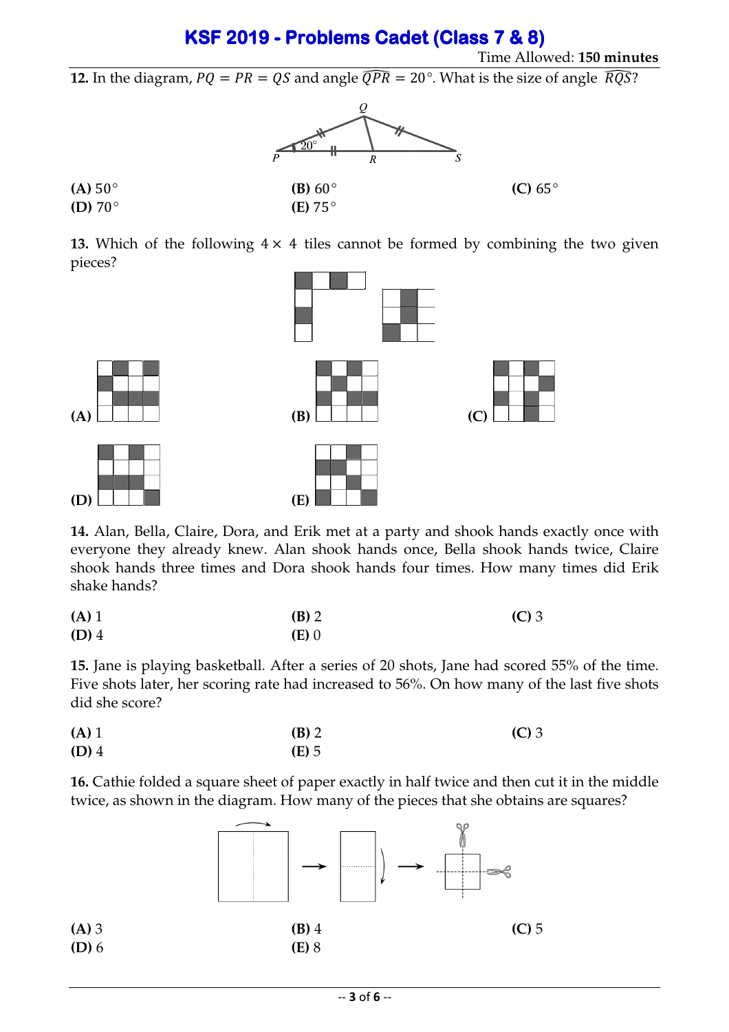# **KSF 2019 - KSF 2019 -Problems Cadet Problems Cadet (Class 7 & 8) (Class 7 & 8)**

12. In the diagram,  $PQ = PR = QS$  and angle  $\widehat{QPR} = 20^\circ$ . What is the size of angle  $\widehat{RQS}$ ?



**13.** Which of the following  $4 \times 4$  tiles cannot be formed by combining the two given pieces?



**14.** Alan, Bella, Claire, Dora, and Erik met at a party and shook hands exactly once with everyone they already knew. Alan shook hands once, Bella shook hands twice, Claire shook hands three times and Dora shook hands four times. How many times did Erik shake hands?

| $(A)$ 1 | $(B)$ 2 | $(C)$ 3 |
|---------|---------|---------|
| $(D)$ 4 | $(E)$ 0 |         |

**15.** Jane is playing basketball. After a series of 20 shots, Jane had scored 55% of the time. Five shots later, her scoring rate had increased to 56%. On how many of the last five shots did she score?

| $(A)$ 1 | $(B)$ 2 | $(C)$ 3 |
|---------|---------|---------|
| $(D)$ 4 | $(E)$ 5 |         |

**16.** Cathie folded a square sheet of paper exactly in half twice and then cut it in the middle twice, as shown in the diagram. How many of the pieces that she obtains are squares?

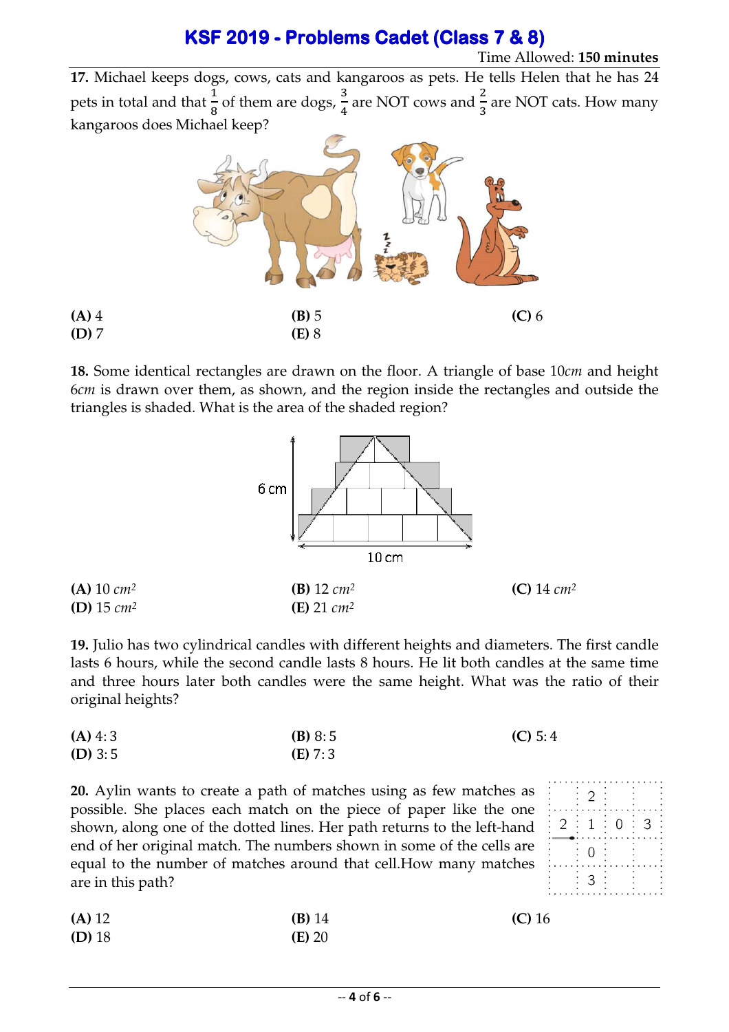**17.** Michael keeps dogs, cows, cats and kangaroos as pets. He tells Helen that he has 24 pets in total and that  $\frac{1}{8}$  of them are dogs,  $\frac{3}{4}$ kangaroos does Michael keep?  $\frac{3}{4}$  are NOT cows and  $\frac{2}{3}$  are NOT cats. How many



18. Some identical rectangles are drawn on the floor. A triangle of base 10cm and height 6*cm* is drawn over them, as shown, and the region inside the rectangles and outside the triangles is shaded. What is the area of the shaded region?



**19.** Julio has two cylindrical candles with different heights and diameters. The first candle lasts 6 hours, while the second candle lasts 8 hours. He lit both candles at the same time and three hours later both candles were the same height. What was the ratio of their original heights?

| $(A)$ 4:3 | (B) 8:5   | (C) 5:4 |
|-----------|-----------|---------|
| $(D)$ 3:5 | $(E)$ 7:3 |         |

**20.** Aylin wants to create a path of matches using as few matches as possible. She places each match on the piece of paper like the one shown, along one of the dotted lines. Her path returns to the left-hand end of her original match. The numbers shown in some of the cells are equal to the number of matches around that cell.How many matches are in this path? hand<br>ls are<br>tches<br>**16 (C)** 16

| (A) 12   | $(B)$ 14 | (C) |
|----------|----------|-----|
| $(D)$ 18 | $(E)$ 20 |     |

**(A)** 4 **(D)** 7

| $\overline{a}$ |                |
|----------------|----------------|
| 2:1:0          | $\therefore$ 3 |
| $\overline{0}$ |                |
| 3              |                |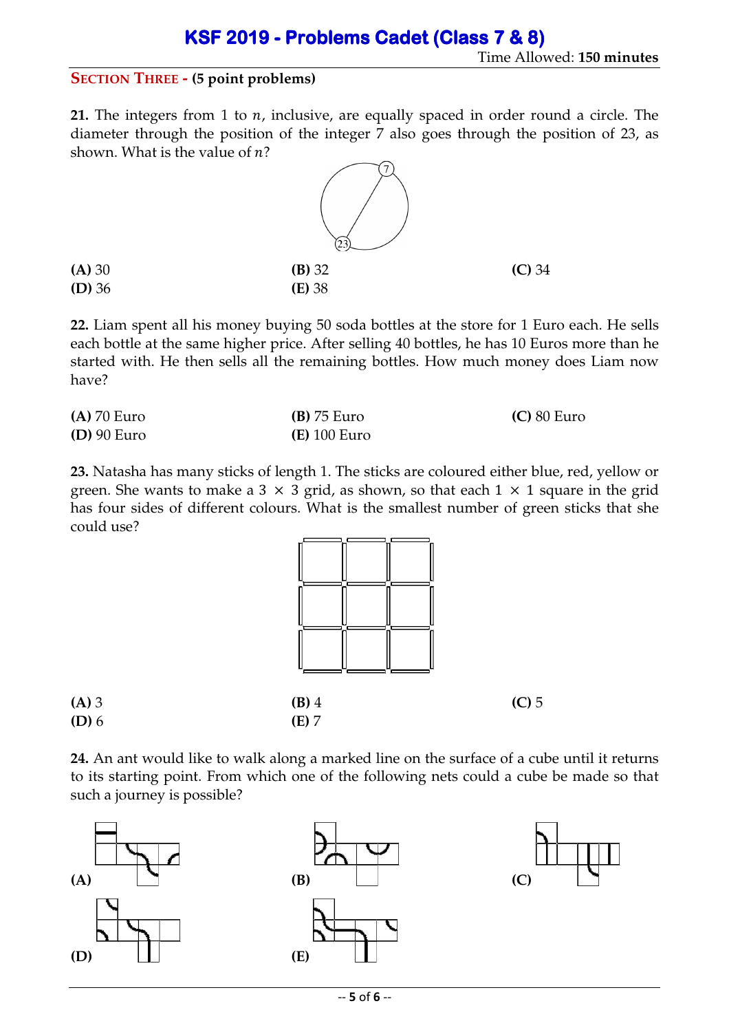#### **SECTION THREE - (5 point problems)**

**21.** The integers from 1 to  $n$ , inclusive, are equally spaced in order round a circle. The diameter through the position of the integer 7 also goes through the position of 23, as shown. What is the value of  $n$ ?



**22.** Liam spent all his money buying 50 soda bottles at the store for 1 Euro each. He sells each bottle at the same higher price. After selling 40 bottles, he has 10 Euros more than he started with. He then sells all the remaining bottles. How much money does Liam now have?

| $(A)$ 70 Euro | $(B)$ 75 Euro         | $(C)$ 80 Euro |
|---------------|-----------------------|---------------|
| $(D)$ 90 Euro | ( <b>E</b> ) 100 Euro |               |

**23.** Natasha has many sticks of length 1. The sticks are coloured either blue, red, yellow or green. She wants to make a 3  $\times$  3 grid, as shown, so that each 1  $\times$  1 square in the grid has four sides of different colours. What is the smallest number of green sticks that she could use?



**24.** An ant would like to walk along a marked line on the surface of a cube until it returns to its starting point. From which one of the following nets could a cube be made so that such a journey is possible?